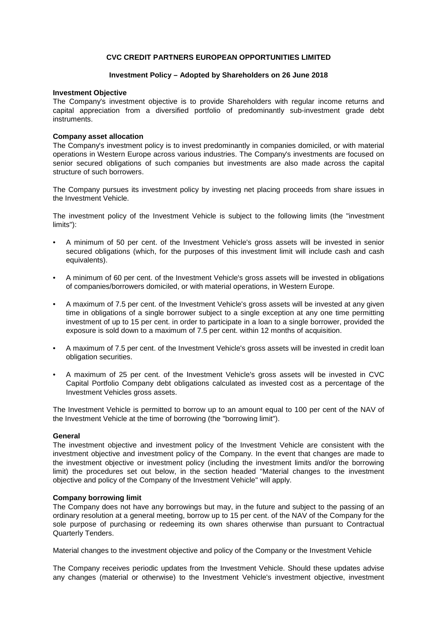# **CVC CREDIT PARTNERS EUROPEAN OPPORTUNITIES LIMITED**

### **Investment Policy - Adopted by Shareholders on 26 June 2018**

# **Investment Objective**

The Company's investment objective is to provide Shareholders with regular income returns and capital appreciation from a diversified portfolio of predominantly sub-investment grade debt instruments.

### **Company asset allocation**

The Company's investment policy is to invest predominantly in companies domiciled, or with material operations in Western Europe across various industries. The Company's investments are focused on senior secured obligations of such companies but investments are also made across the capital structure of such borrowers.

The Company pursues its investment policy by investing net placing proceeds from share issues in the Investment Vehicle.

The investment policy of the Investment Vehicle is subject to the following limits (the "investment limits"):

- A minimum of 50 per cent. of the Investment Vehicle's gross assets will be invested in senior secured obligations (which, for the purposes of this investment limit will include cash and cash equivalents).
- A minimum of 60 per cent. of the Investment Vehicle's gross assets will be invested in obligations of companies/borrowers domiciled, or with material operations, in W estern Europe.
- A maximum of 7.5 per cent, of the Investment Vehicle's gross assets will be invested at any given time in obligations of a single borrower subject to a single exception at any one time permitting investment of up to 15 per cent, in order to participate in a loan to a single borrower, provided the exposure is sold down to a maximum of 7.5 per cent. within 12 months of acquisition.
- A maximum of 7.5 per cent, of the Investment Vehicle's gross assets will be invested in credit loan obligation securities.
- A maximum of 25 per cent. of the Investment Vehicle's gross assets will be invested in CVC Capital Portfolio Company debt obligations calculated as invested cost as a percentage of the Investment Vehicles gross assets.

The Investment Vehicle is permitted to borrow up to an amount equal to 100 per cent of the NAV of the Investment Vehicle at the time of borrowing (the "borrowing limit").

### **General**

The investment objective and investment policy of the Investment Vehicle are consistent with the investment objective and investment policy of the Company. In the event that changes are made to the investment objective or investment policy (including the investment limits and/or the borrowing limit) the procedures set out below, in the section headed "Material changes to the investment objective and policy of the Company of the Investment Vehicle" will apply.

### **Company borrowing limit**

The Company does not have any borrowings but may, in the future and subject to the passing of an ordinary resolution at a general meeting, borrow up to 15 per cent, of the NAV of the Company for the sole purpose of purchasing or redeeming its own shares otherwise than pursuant to Contractual Quarterly Tenders.

Material changes to the investment objective and policy of the Company or the Investment Vehicle

The Company receives periodic updates from the Investment Vehicle. Should these updates advise any changes (material or otherwise) to the Investment Vehicle's investment objective, investment